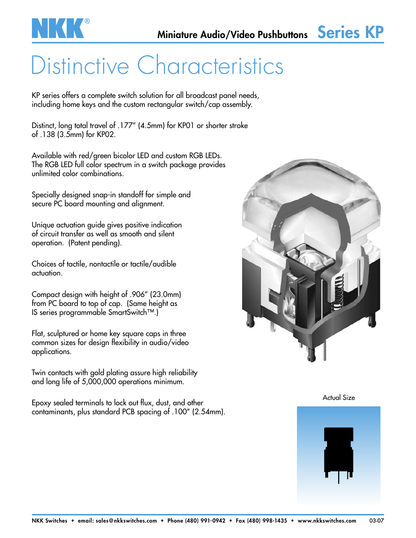

# Distinctive Characteristics

KP series offers a complete switch solution for all broadcast panel needs, including home keys and the custom rectangular switch/cap assembly.

Distinct, long total travel of .177" (4.5mm) for KP01 or shorter stroke of .138 (3.5mm) for KP02.

Available with red/green bicolor LED and custom RGB LEDs. The RGB LED full color spectrum in a switch package provides unlimited color combinations.

Specially designed snap-in standoff for simple and secure PC board mounting and alignment.

Unique actuation guide gives positive indication of circuit transfer as well as smooth and silent operation. (Patent pending).

Choices of tactile, nontactile or tactile/audible actuation.

Compact design with height of .906" (23.0mm) from PC board to top of cap. (Same height as IS series programmable SmartSwitch™.)

Flat, sculptured or home key square caps in three common sizes for design flexibility in audio/video applications.

Twin contacts with gold plating assure high reliability and long life of 5,000,000 operations minimum.

Epoxy sealed terminals to lock out flux, dust, and other contaminants, plus standard PCB spacing of .100" (2.54mm).



Actual Size

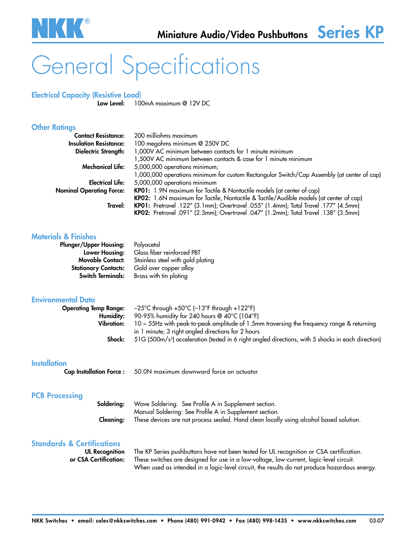

# General Specifications

## Electrical Capacity (Resistive Load)

100mA maximum @ 12V DC

### **Other Ratings**

| <b>Contact Resistance:</b>      | 200 milliohms maximum                                                                      |  |  |  |
|---------------------------------|--------------------------------------------------------------------------------------------|--|--|--|
| <b>Insulation Resistance:</b>   | 100 megohms minimum @ 250V DC                                                              |  |  |  |
| <b>Dielectric Strength:</b>     | 1,000V AC minimum between contacts for 1 minute minimum                                    |  |  |  |
|                                 | 1,500V AC minimum between contacts & case for 1 minute minimum                             |  |  |  |
| <b>Mechanical Life:</b>         | 5,000,000 operations minimum;                                                              |  |  |  |
|                                 | 1,000,000 operations minimum for custom Rectangular Switch/Cap Assembly (at center of cap) |  |  |  |
| <b>Electrical Life:</b>         | 5,000,000 operations minimum                                                               |  |  |  |
| <b>Nominal Operating Force:</b> | KP01: 1.9N maximum for Tactile & Nontactile models (at center of cap)                      |  |  |  |
|                                 | KP02: 1.6N maximum for Tactile, Nontactile & Tactile/Audible models (at center of cap)     |  |  |  |
| Travel:                         | KP01: Pretravel .122" (3.1mm); Overtravel .055" (1.4mm); Total Travel .177" (4.5mm)        |  |  |  |
|                                 | KP02: Pretravel .091" (2.3mm); Overtravel .047" (1.2mm); Total Travel .138" (3.5mm)        |  |  |  |

### Materials & Finishes

| <b>Plunger/Upper Housing:</b> | Polyacetal                        |
|-------------------------------|-----------------------------------|
| Lower Housing:                | Glass fiber reinforced PBT        |
| <b>Movable Contact:</b>       | Stainless steel with gold plating |
| <b>Stationary Contacts:</b>   | Gold over copper alloy            |
| <b>Switch Terminals:</b>      | Brass with tin plating            |

### Environmental Data

| <b>Operating Temp Range:</b> | $-25^{\circ}$ C through +50 $^{\circ}$ C ( $-13^{\circ}$ F through +122 $^{\circ}$ F)                          |
|------------------------------|----------------------------------------------------------------------------------------------------------------|
| Humidity:                    | 90-95% humidity for 240 hours @ 40°C (104°F)                                                                   |
| Vibration:                   | $10 \sim 55$ Hz with peak-to-peak amplitude of 1.5mm traversing the frequency range & returning                |
|                              | in 1 minute; 3 right angled directions for 2 hours                                                             |
| Shock:                       | 51G (500m/s <sup>2</sup> ) acceleration (tested in 6 right angled directions, with 5 shocks in each direction) |

### **Installation**

Cap Installation Force : 50.0N maximum downward force on actuator

### PCB Processing

|           | <b>Soldering:</b> Wave Soldering. See Profile A in Supplement section.                 |
|-----------|----------------------------------------------------------------------------------------|
|           | Manual Soldering: See Profile A in Supplement section.                                 |
| Cleanina: | These devices are not process sealed. Hand clean locally using alcohol based solution. |

### Standards & Certifications

UL Recognition The KP Series pushbuttons have not been tested for UL recognition or CSA certification. or CSA Certification: These switches are designed for use in a low-voltage, low-current, logic-level circuit. When used as intended in a logic-level circuit, the results do not produce hazardous energy.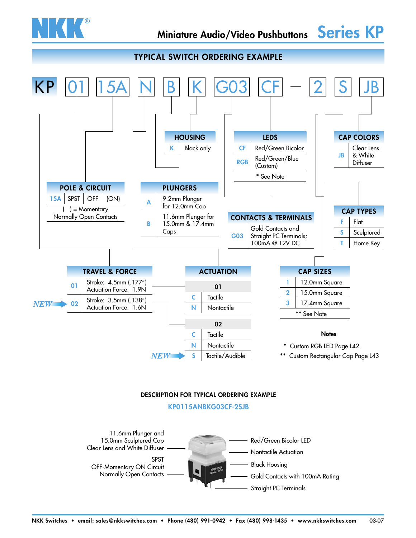

### TYPICAL SWITCH ORDERING EXAMPLE



### DESCRIPTION FOR TYPICAL ORDERING EXAMPLE

KP0115ANBKG03CF-2SJB

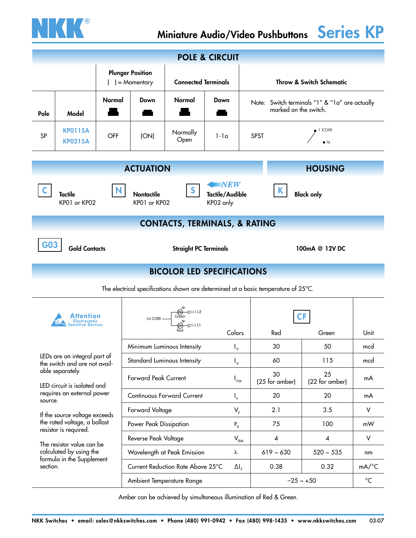

| <b>POLE &amp; CIRCUIT</b>                                                                                                                                                                   |                                                                                                                                                                        |            |                                                                                |                                                                                    |                  |                            |                                                                         |                      |                     |  |
|---------------------------------------------------------------------------------------------------------------------------------------------------------------------------------------------|------------------------------------------------------------------------------------------------------------------------------------------------------------------------|------------|--------------------------------------------------------------------------------|------------------------------------------------------------------------------------|------------------|----------------------------|-------------------------------------------------------------------------|----------------------|---------------------|--|
|                                                                                                                                                                                             |                                                                                                                                                                        |            | <b>Plunger Position</b><br>$( ) =$ Momentary                                   | <b>Connected Terminals</b>                                                         |                  |                            | <b>Throw &amp; Switch Schematic</b>                                     |                      |                     |  |
| Pole                                                                                                                                                                                        | Model                                                                                                                                                                  | Normal     | Down                                                                           | Normal                                                                             | Down             |                            | Note: Switch terminals "1" & "1a" are actually<br>marked on the switch. |                      |                     |  |
| SP                                                                                                                                                                                          | <b>KP0115A</b><br><b>KP0215A</b>                                                                                                                                       | <b>OFF</b> | (ON)                                                                           | Normally<br>Open                                                                   | $1-1a$           | <b>SPST</b>                | 1 (COM)                                                                 |                      |                     |  |
|                                                                                                                                                                                             |                                                                                                                                                                        |            | <b>ACTUATION</b>                                                               |                                                                                    |                  |                            |                                                                         | <b>HOUSING</b>       |                     |  |
|                                                                                                                                                                                             | $\blacksquare$ $NEW$<br>$\mathbf{S}$<br>N.<br><b>Tactile/Audible</b><br><b>Tactile</b><br>Nontactile<br><b>Black only</b><br>KP01 or KP02<br>KP01 or KP02<br>KP02 only |            |                                                                                |                                                                                    |                  |                            |                                                                         |                      |                     |  |
|                                                                                                                                                                                             |                                                                                                                                                                        |            |                                                                                | <b>CONTACTS, TERMINALS, &amp; RATING</b>                                           |                  |                            |                                                                         |                      |                     |  |
|                                                                                                                                                                                             | <b>Gold Contacts</b><br><b>Straight PC Terminals</b><br>100mA @ 12V DC                                                                                                 |            |                                                                                |                                                                                    |                  |                            |                                                                         |                      |                     |  |
|                                                                                                                                                                                             |                                                                                                                                                                        |            |                                                                                | <b>BICOLOR LED SPECIFICATIONS</b>                                                  |                  |                            |                                                                         |                      |                     |  |
|                                                                                                                                                                                             |                                                                                                                                                                        |            |                                                                                | The electrical specifications shown are determined at a basic temperature of 25°C. |                  |                            |                                                                         |                      |                     |  |
| ensitive Devices                                                                                                                                                                            |                                                                                                                                                                        |            | Green<br>Green<br>$\bigotimes$ -O (-) L1<br>$(+)$ COM $\overline{\phantom{0}}$ |                                                                                    |                  |                            |                                                                         |                      |                     |  |
|                                                                                                                                                                                             |                                                                                                                                                                        |            |                                                                                |                                                                                    |                  | Colors                     | Red                                                                     | Green                | Unit                |  |
|                                                                                                                                                                                             | LEDs are an integral part of                                                                                                                                           |            |                                                                                | Minimum Luminous Intensity                                                         | $I_{\mathsf{v}}$ |                            | 30                                                                      | 50                   | mcd                 |  |
|                                                                                                                                                                                             | the switch and are not avail-<br>able separately.                                                                                                                      |            | Standard Luminous Intensity                                                    |                                                                                    |                  | $I_{\rm v}$                | 60                                                                      | 115                  | mcd                 |  |
| LED circuit is isolated and<br>requires an external power<br>source.<br>If the source voltage exceeds<br>the rated voltage, a ballast<br>resistor is required.<br>The resistor value can be |                                                                                                                                                                        |            | <b>Forward Peak Current</b>                                                    |                                                                                    | $I_{FM}$         |                            | 30<br>(25 for amber)                                                    | 25<br>(22 for amber) | mA                  |  |
|                                                                                                                                                                                             |                                                                                                                                                                        |            | <b>Continuous Forward Current</b><br>$I_F$                                     |                                                                                    |                  |                            | 20                                                                      | 20                   | mA                  |  |
|                                                                                                                                                                                             |                                                                                                                                                                        |            | Forward Voltage<br>$V_{F}$                                                     |                                                                                    |                  |                            | 2.1                                                                     | 3.5                  | V                   |  |
|                                                                                                                                                                                             |                                                                                                                                                                        |            | Power Peak Dissipation                                                         |                                                                                    |                  | $P_{D}$                    | 75                                                                      | 100                  | mW                  |  |
|                                                                                                                                                                                             |                                                                                                                                                                        |            | Reverse Peak Voltage                                                           |                                                                                    |                  | $\mathsf{V}_{\mathsf{RM}}$ | $\boldsymbol{4}$                                                        | $\pmb{4}$            | $\vee$              |  |
|                                                                                                                                                                                             | calculated by using the                                                                                                                                                |            |                                                                                | Wavelength at Peak Emission                                                        | λ                |                            | $619 - 630$                                                             | $520 \sim 535$       | nm                  |  |
| section.                                                                                                                                                                                    | formula in the Supplement                                                                                                                                              |            |                                                                                | Current Reduction Rate Above 25°C                                                  | $\Delta I_F$     |                            | 0.38                                                                    | 0.32                 | $mA$ <sup>o</sup> C |  |
|                                                                                                                                                                                             |                                                                                                                                                                        |            | Ambient Temperature Range                                                      |                                                                                    |                  | $-25 - +50$                |                                                                         |                      | $^{\circ}C$         |  |

Amber can be achieved by simultaneous illumination of Red & Green.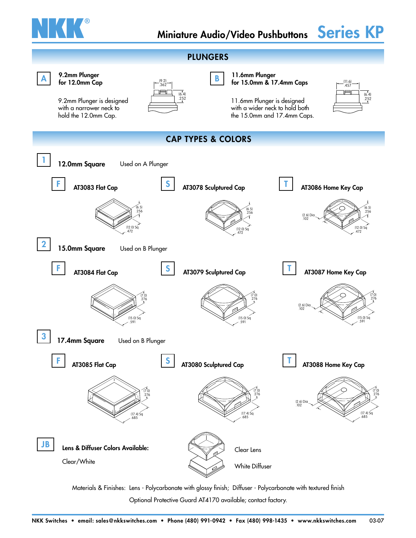



Materials & Finishes: Lens - Polycarbonate with glossy finish; Diffuser - Polycarbonate with textured finish Optional Protective Guard AT4170 available; contact factory.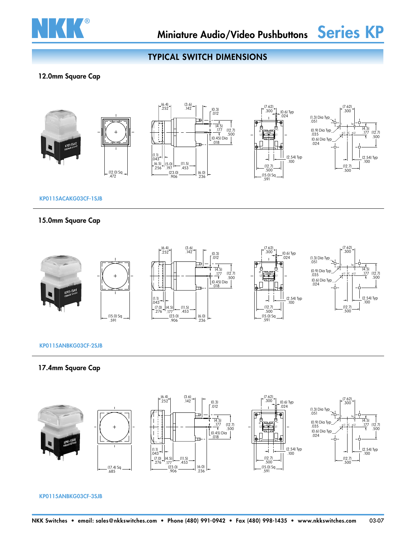

## TYPICAL SWITCH DIMENSIONS

### 12.0mm Square Cap



### KP0115ACAKG03CF-1SJB

### 15.0mm Square Cap



### KP0115ANBKG03CF-2SJB

### 17.4mm Square Cap



KP0115ANBKG03CF-3SJB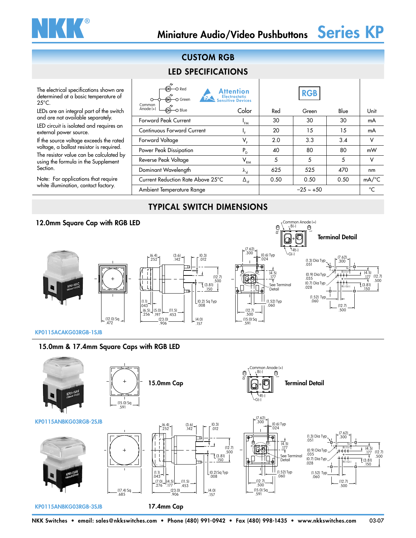

### The electrical specifications shown are determined at a basic temperature of 25°C.

LEDs are an integral part of the switch and are not available separately.

LED circuit is isolated and requires an external power source.

If the source voltage exceeds the rated voltage, a ballast resistor is required. The resistor value can be calculated by using the formula in the Supplement Section.

Note: For applications that require white illumination, contact factory.

## CUSTOM RGB

## LED SPECIFICATIONS

| $\circ$ Red<br>O Green<br>Common  | <b>Attention</b><br>Electrostatic<br>Sensitive Devices |      | <b>RGB</b>     |      |                     |
|-----------------------------------|--------------------------------------------------------|------|----------------|------|---------------------|
| Anode (+)<br>O Blue               | Color                                                  | Red  | Green          | Blue | Unit                |
| <b>Forward Peak Current</b>       | 'FM                                                    | 30   | 30             | 30   | mA                  |
| <b>Continuous Forward Current</b> | ι <sub>Ε</sub>                                         | 20   | 15             | 15   | mA                  |
| Forward Voltage                   | $V_{F}$                                                | 2.0  | 3.3            | 3.4  | ν                   |
| Power Peak Dissipation            | $P_{D}$                                                | 40   | 80             | 80   | mW                  |
| Reverse Peak Voltage              | $\mathsf{V}_{\mathsf{RM}}$                             | 5    | 5              | 5    | ν                   |
| Dominant Wavelength               | $\lambda_{\rm d}$                                      | 625  | 525            | 470  | nm                  |
| Current Reduction Rate Above 25°C | $\Delta_{\rm IF}$                                      | 0.50 | 0.50           | 0.50 | $mA$ <sup>o</sup> C |
| Ambient Temperature Range         |                                                        |      | $-25 \sim +50$ |      | °⊂                  |

## TYPICAL SWITCH DIMENSIONS

### 12.0mm Square Cap with RGB LED B(-) Common Anode (+)  $\theta$  $\overline{\circ}$ Terminal Detail (7.62) R(-)  $.300 - 0.6$  Typ<br>-024 G(-) .252 .142 (3.6) (0.3) .012 (7.62)  $757$ .300 (1.3) Dia Typ<br>.051 1 1a (4.5) B(-) (+) (4.5)<br>177 Typ .035 (0.9) Dia .177  $(12.7)$ (12.7)  $\overline{\sigma}$ .177 .500 .500 .028 (0.7) Dia Typ  $\bar{1}$  (3.81) See Terminal Detail .150 (3.81) R(-) G(-) .150 Typ .060 (1.52) (1.1) .043 (0.2) Sq Typ<br>.008 .060 (1.52) Typ (12.7) .500  $(5.0)$ <br>.197 (11.5) .256 .197 (6.5) (12.7) .500 .453  $\frac{(23.0)}{.906}$ (12.0) Sq .472  $-$  (4.0)<br>157 (15.0) Sq<br>.591

KP0115ACAKG03RGB-1SJB

### 15.0mm & 17.4mm Square Caps with RGB LED

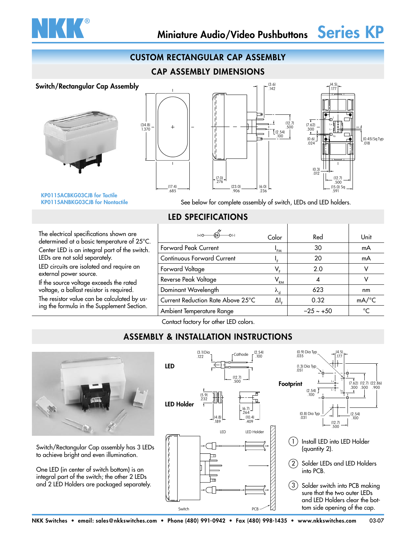

### CUSTOM RECTANGULAR CAP ASSEMBLY

### CAP ASSEMBLY DIMENSIONS







KP0115ACBKG03CJB for Tactile KP0115ANBKG03CJB for Nontactile

See below for complete assembly of switch, LEDs and LED holders.

### The electrical specifications shown are determined at a basic temperature of 25°C.

Center LED is an integral part of the switch. LEDs are not sold separately.

LED circuits are isolated and require an external power source.

If the source voltage exceeds the rated voltage, a ballast resistor is required.

The resistor value can be calculated by using the formula in the Supplement Section.

| Color                                  | Red         | Unit                |
|----------------------------------------|-------------|---------------------|
| 'FM                                    | 30          | mA                  |
|                                        | 20          | mA                  |
| V,                                     | 2.0         |                     |
| V <sub>rm</sub>                        |             |                     |
| ${\lambda_{\scriptscriptstyle \rm d}}$ | 623         | nm                  |
| $\Delta I_{\rm r}$                     | 0.32        | $mA$ <sup>°</sup> C |
|                                        | $-25 - +50$ | $\circ$ C           |
|                                        |             |                     |

Contact factory for other LED colors.

LED SPECIFICATIONS

## ASSEMBLY & INSTALLATION INSTRUCTIONS



Switch/Rectangular Cap assembly has 3 LEDs to achieve bright and even illumination.

One LED (in center of switch bottom) is an integral part of the switch; the other 2 LEDs and 2 LED Holders are packaged separately.